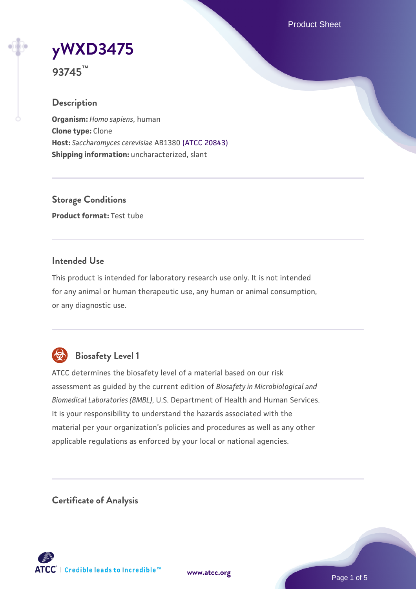Product Sheet



**93745™**

### **Description**

**Organism:** *Homo sapiens*, human **Clone type:** Clone **Host:** *Saccharomyces cerevisiae* AB1380 [\(ATCC 20843\)](https://www.atcc.org/products/20843) **Shipping information:** uncharacterized, slant

**Storage Conditions Product format:** Test tube

## **Intended Use**

This product is intended for laboratory research use only. It is not intended for any animal or human therapeutic use, any human or animal consumption, or any diagnostic use.



# **Biosafety Level 1**

ATCC determines the biosafety level of a material based on our risk assessment as guided by the current edition of *Biosafety in Microbiological and Biomedical Laboratories (BMBL)*, U.S. Department of Health and Human Services. It is your responsibility to understand the hazards associated with the material per your organization's policies and procedures as well as any other applicable regulations as enforced by your local or national agencies.

**Certificate of Analysis**

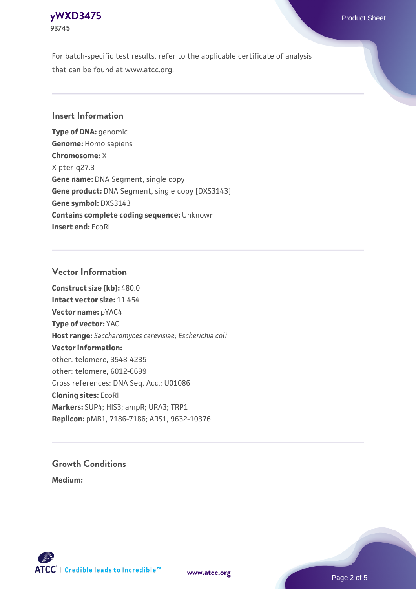# **[yWXD3475](https://www.atcc.org/products/93745)** Product Sheet **93745**

For batch-specific test results, refer to the applicable certificate of analysis that can be found at www.atcc.org.

## **Insert Information**

**Type of DNA:** genomic **Genome:** Homo sapiens **Chromosome:** X X pter-q27.3 **Gene name:** DNA Segment, single copy **Gene product:** DNA Segment, single copy [DXS3143] **Gene symbol:** DXS3143 **Contains complete coding sequence:** Unknown **Insert end:** EcoRI

## **Vector Information**

**Construct size (kb):** 480.0 **Intact vector size:** 11.454 **Vector name:** pYAC4 **Type of vector:** YAC **Host range:** *Saccharomyces cerevisiae*; *Escherichia coli* **Vector information:** other: telomere, 3548-4235 other: telomere, 6012-6699 Cross references: DNA Seq. Acc.: U01086 **Cloning sites:** EcoRI **Markers:** SUP4; HIS3; ampR; URA3; TRP1 **Replicon:** pMB1, 7186-7186; ARS1, 9632-10376

# **Growth Conditions**

**Medium:** 



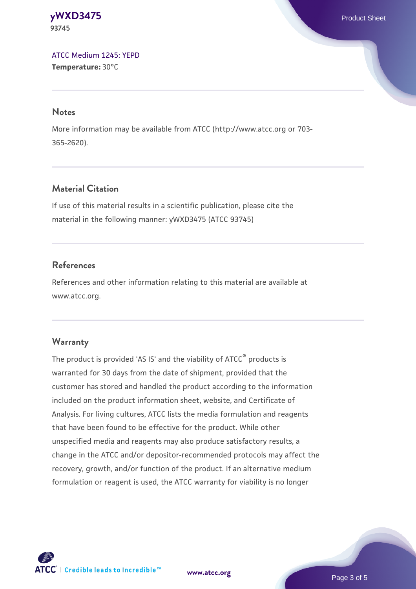#### **[yWXD3475](https://www.atcc.org/products/93745)** Product Sheet **93745**

[ATCC Medium 1245: YEPD](https://www.atcc.org/-/media/product-assets/documents/microbial-media-formulations/1/2/4/5/atcc-medium-1245.pdf?rev=705ca55d1b6f490a808a965d5c072196) **Temperature:** 30°C

#### **Notes**

More information may be available from ATCC (http://www.atcc.org or 703- 365-2620).

# **Material Citation**

If use of this material results in a scientific publication, please cite the material in the following manner: yWXD3475 (ATCC 93745)

# **References**

References and other information relating to this material are available at www.atcc.org.

# **Warranty**

The product is provided 'AS IS' and the viability of ATCC® products is warranted for 30 days from the date of shipment, provided that the customer has stored and handled the product according to the information included on the product information sheet, website, and Certificate of Analysis. For living cultures, ATCC lists the media formulation and reagents that have been found to be effective for the product. While other unspecified media and reagents may also produce satisfactory results, a change in the ATCC and/or depositor-recommended protocols may affect the recovery, growth, and/or function of the product. If an alternative medium formulation or reagent is used, the ATCC warranty for viability is no longer



**[www.atcc.org](http://www.atcc.org)**

Page 3 of 5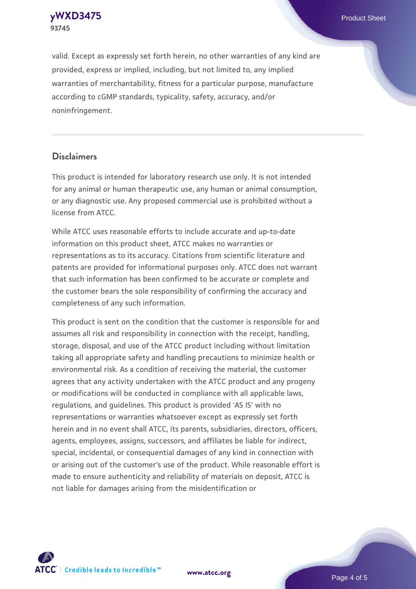**93745**

valid. Except as expressly set forth herein, no other warranties of any kind are provided, express or implied, including, but not limited to, any implied warranties of merchantability, fitness for a particular purpose, manufacture according to cGMP standards, typicality, safety, accuracy, and/or noninfringement.

#### **Disclaimers**

This product is intended for laboratory research use only. It is not intended for any animal or human therapeutic use, any human or animal consumption, or any diagnostic use. Any proposed commercial use is prohibited without a license from ATCC.

While ATCC uses reasonable efforts to include accurate and up-to-date information on this product sheet, ATCC makes no warranties or representations as to its accuracy. Citations from scientific literature and patents are provided for informational purposes only. ATCC does not warrant that such information has been confirmed to be accurate or complete and the customer bears the sole responsibility of confirming the accuracy and completeness of any such information.

This product is sent on the condition that the customer is responsible for and assumes all risk and responsibility in connection with the receipt, handling, storage, disposal, and use of the ATCC product including without limitation taking all appropriate safety and handling precautions to minimize health or environmental risk. As a condition of receiving the material, the customer agrees that any activity undertaken with the ATCC product and any progeny or modifications will be conducted in compliance with all applicable laws, regulations, and guidelines. This product is provided 'AS IS' with no representations or warranties whatsoever except as expressly set forth herein and in no event shall ATCC, its parents, subsidiaries, directors, officers, agents, employees, assigns, successors, and affiliates be liable for indirect, special, incidental, or consequential damages of any kind in connection with or arising out of the customer's use of the product. While reasonable effort is made to ensure authenticity and reliability of materials on deposit, ATCC is not liable for damages arising from the misidentification or



**[www.atcc.org](http://www.atcc.org)**

Page 4 of 5